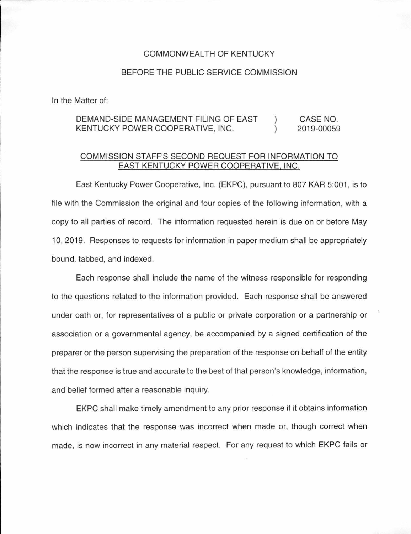## COMMONWEALTH OF KENTUCKY

## BEFORE THE PUBLIC SERVICE COMMISSION

In the Matter of:

## DEMAND-SIDE MANAGEMENT FILING OF EAST KENTUCKY POWER COOPERATIVE, INC.  $\left( \right)$  $\lambda$ CASE NO. 2019-00059

## COMMISSION STAFF'S SECOND REQUEST FOR INFORMATION TO EAST KENTUCKY POWER COOPERATIVE, INC.

East Kentucky Power Cooperative, Inc. (EKPC), pursuant to 807 KAR 5:001 , is to file with the Commission the original and four copies of the following information, with a copy to all parties of record. The information requested herein is due on or before May 10, 2019. Responses to requests for information in paper medium shall be appropriately bound, tabbed, and indexed.

Each response shall include the name of the witness responsible for responding to the questions related to the information provided. Each response shall be answered under oath or, for representatives of a public or private corporation or a partnership or association or a governmental agency, be accompanied by a signed certification of the preparer or the person supervising the preparation of the response on behalf of the entity that the response is true and accurate to the best of that person's knowledge, information, and belief formed after a reasonable inquiry.

EKPC shall make timely amendment to any prior response if it obtains information which indicates that the response was incorrect when made or, though correct when made, is now incorrect in any material respect. For any request to which EKPC fails or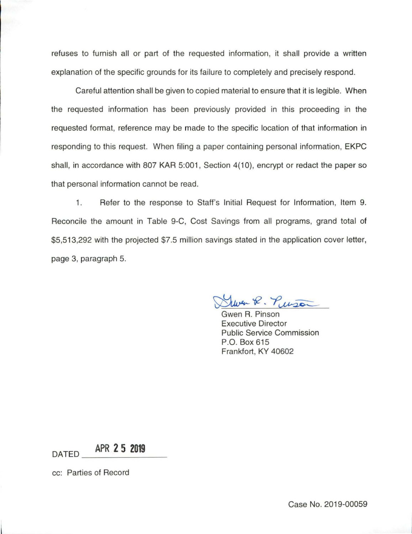refuses to furnish all or part of the requested information, it shall provide a written explanation of the specific grounds for its failure to completely and precisely respond.

Careful attention shall be given to copied material to ensure that it is legible. When the requested information has been previously provided in this proceeding in the requested format, reference may be made to the specific location of that information in responding to this request. When filing a paper containing personal information, EKPC shall, in accordance with 807 KAR 5:001, Section 4(10), encrypt or redact the paper so that personal information cannot be read.

1. Refer to the response to Staff's Initial Request for Information, Item 9. Reconcile the amount in Table 9-C, Cost Savings from all programs, grand total of \$5,513,292 with the projected \$7.5 million savings stated in the application cover letter, page 3, paragraph 5.

Wer R. Puison

Gwen R. Pinson Executive Director Public Service Commission P.O. Box 615 Frankfort, KY 40602

DATED **\_ A\_PR \_ \_2 \_5 \_20\_19 \_\_** 

cc: Parties of Record